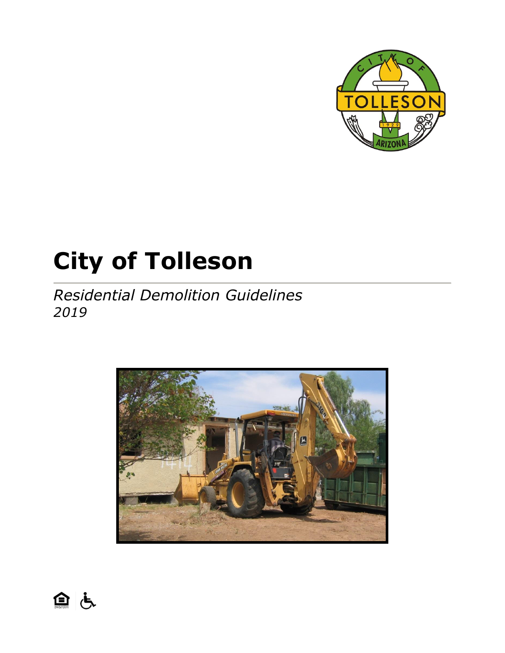

# **City of Tolleson**

*Residential Demolition Guidelines 2019*



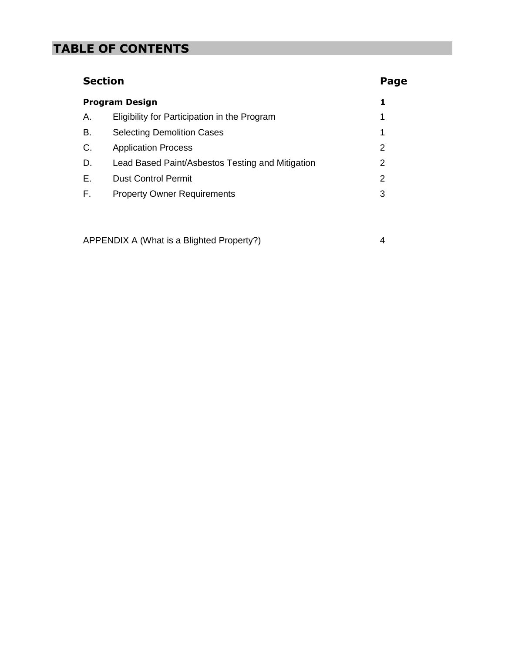## **TABLE OF CONTENTS**

| <b>Section</b><br><b>Program Design</b> |                                                  | Page |  |
|-----------------------------------------|--------------------------------------------------|------|--|
|                                         |                                                  |      |  |
| Α.                                      | Eligibility for Participation in the Program     | 1    |  |
| B.                                      | <b>Selecting Demolition Cases</b>                | 1    |  |
| $C_{\cdot}$                             | <b>Application Process</b>                       | 2    |  |
| D.                                      | Lead Based Paint/Asbestos Testing and Mitigation | 2    |  |
| Ε.                                      | <b>Dust Control Permit</b>                       | 2    |  |
| F.                                      | <b>Property Owner Requirements</b>               | 3    |  |
|                                         |                                                  |      |  |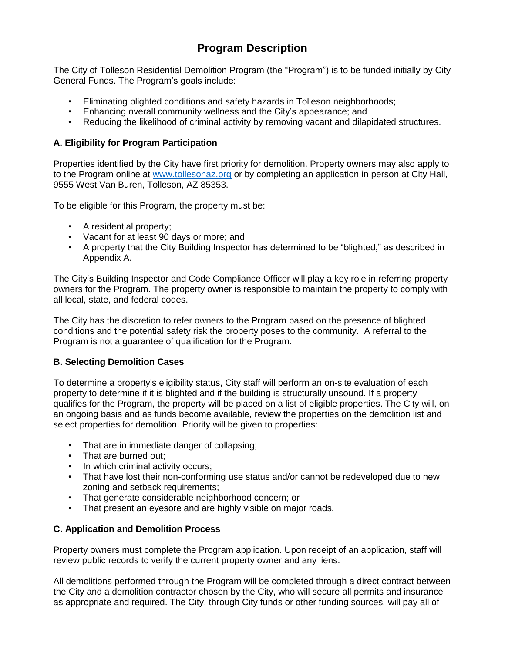### **Program Description**

The City of Tolleson Residential Demolition Program (the "Program") is to be funded initially by City General Funds. The Program's goals include:

- Eliminating blighted conditions and safety hazards in Tolleson neighborhoods;
- Enhancing overall community wellness and the City's appearance; and
- Reducing the likelihood of criminal activity by removing vacant and dilapidated structures.

#### **A. Eligibility for Program Participation**

Properties identified by the City have first priority for demolition. Property owners may also apply to to the Program online at [www.tollesonaz.org](http://www.tollesonaz.org/) or by completing an application in person at City Hall, 9555 West Van Buren, Tolleson, AZ 85353.

To be eligible for this Program, the property must be:

- A residential property;
- Vacant for at least 90 days or more; and
- A property that the City Building Inspector has determined to be "blighted," as described in Appendix A.

The City's Building Inspector and Code Compliance Officer will play a key role in referring property owners for the Program. The property owner is responsible to maintain the property to comply with all local, state, and federal codes.

The City has the discretion to refer owners to the Program based on the presence of blighted conditions and the potential safety risk the property poses to the community. A referral to the Program is not a guarantee of qualification for the Program.

#### **B. Selecting Demolition Cases**

To determine a property's eligibility status, City staff will perform an on-site evaluation of each property to determine if it is blighted and if the building is structurally unsound. If a property qualifies for the Program, the property will be placed on a list of eligible properties. The City will, on an ongoing basis and as funds become available, review the properties on the demolition list and select properties for demolition. Priority will be given to properties:

- That are in immediate danger of collapsing;
- That are burned out;
- In which criminal activity occurs;
- That have lost their non-conforming use status and/or cannot be redeveloped due to new zoning and setback requirements;
- That generate considerable neighborhood concern; or
- That present an eyesore and are highly visible on major roads.

#### **C. Application and Demolition Process**

Property owners must complete the Program application. Upon receipt of an application, staff will review public records to verify the current property owner and any liens.

All demolitions performed through the Program will be completed through a direct contract between the City and a demolition contractor chosen by the City, who will secure all permits and insurance as appropriate and required. The City, through City funds or other funding sources, will pay all of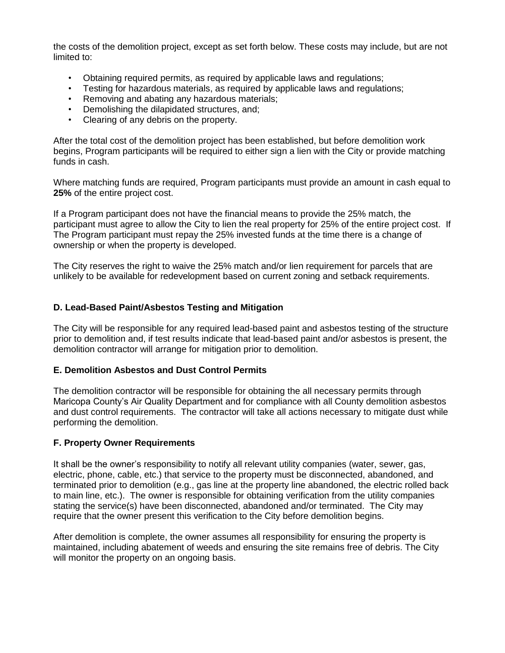the costs of the demolition project, except as set forth below. These costs may include, but are not limited to:

- Obtaining required permits, as required by applicable laws and regulations;
- Testing for hazardous materials, as required by applicable laws and regulations;
- Removing and abating any hazardous materials;
- Demolishing the dilapidated structures, and;
- Clearing of any debris on the property.

After the total cost of the demolition project has been established, but before demolition work begins, Program participants will be required to either sign a lien with the City or provide matching funds in cash.

Where matching funds are required, Program participants must provide an amount in cash equal to **25%** of the entire project cost.

If a Program participant does not have the financial means to provide the 25% match, the participant must agree to allow the City to lien the real property for 25% of the entire project cost. If The Program participant must repay the 25% invested funds at the time there is a change of ownership or when the property is developed.

The City reserves the right to waive the 25% match and/or lien requirement for parcels that are unlikely to be available for redevelopment based on current zoning and setback requirements.

#### **D. Lead-Based Paint/Asbestos Testing and Mitigation**

The City will be responsible for any required lead-based paint and asbestos testing of the structure prior to demolition and, if test results indicate that lead-based paint and/or asbestos is present, the demolition contractor will arrange for mitigation prior to demolition.

#### **E. Demolition Asbestos and Dust Control Permits**

The demolition contractor will be responsible for obtaining the all necessary permits through Maricopa County's Air Quality Department and for compliance with all County demolition asbestos and dust control requirements. The contractor will take all actions necessary to mitigate dust while performing the demolition.

#### **F. Property Owner Requirements**

It shall be the owner's responsibility to notify all relevant utility companies (water, sewer, gas, electric, phone, cable, etc.) that service to the property must be disconnected, abandoned, and terminated prior to demolition (e.g., gas line at the property line abandoned, the electric rolled back to main line, etc.). The owner is responsible for obtaining verification from the utility companies stating the service(s) have been disconnected, abandoned and/or terminated. The City may require that the owner present this verification to the City before demolition begins.

After demolition is complete, the owner assumes all responsibility for ensuring the property is maintained, including abatement of weeds and ensuring the site remains free of debris. The City will monitor the property on an ongoing basis.